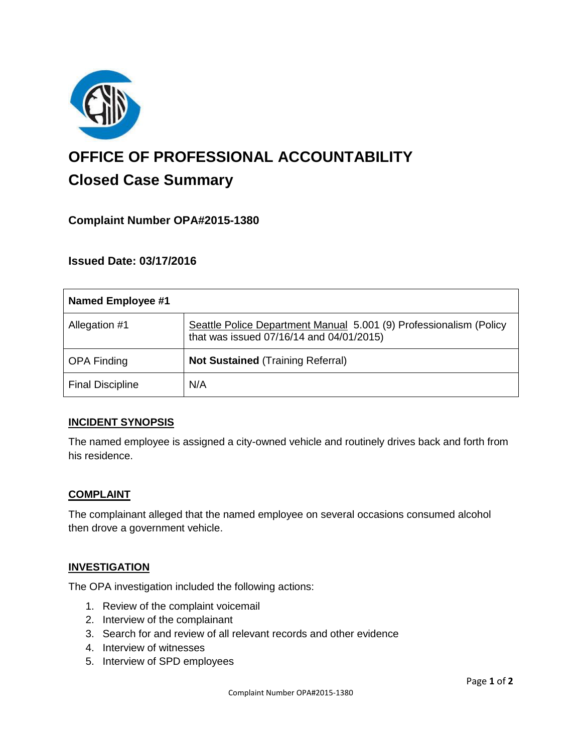

# **OFFICE OF PROFESSIONAL ACCOUNTABILITY Closed Case Summary**

## **Complaint Number OPA#2015-1380**

## **Issued Date: 03/17/2016**

| <b>Named Employee #1</b> |                                                                                                                |
|--------------------------|----------------------------------------------------------------------------------------------------------------|
| Allegation #1            | Seattle Police Department Manual 5.001 (9) Professionalism (Policy<br>that was issued 07/16/14 and 04/01/2015) |
| <b>OPA Finding</b>       | <b>Not Sustained (Training Referral)</b>                                                                       |
| <b>Final Discipline</b>  | N/A                                                                                                            |

### **INCIDENT SYNOPSIS**

The named employee is assigned a city-owned vehicle and routinely drives back and forth from his residence.

### **COMPLAINT**

The complainant alleged that the named employee on several occasions consumed alcohol then drove a government vehicle.

### **INVESTIGATION**

The OPA investigation included the following actions:

- 1. Review of the complaint voicemail
- 2. Interview of the complainant
- 3. Search for and review of all relevant records and other evidence
- 4. Interview of witnesses
- 5. Interview of SPD employees